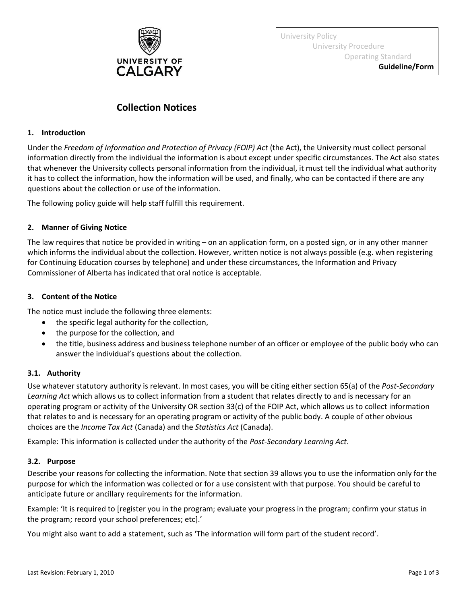

University Policy University Procedure Operating Standard

**Guideline/Form**

# **Collection Notices**

#### **1. Introduction**

Under the *Freedom of Information and Protection of Privacy (FOIP) Act* (the Act), the University must collect personal information directly from the individual the information is about except under specific circumstances. The Act also states that whenever the University collects personal information from the individual, it must tell the individual what authority it has to collect the information, how the information will be used, and finally, who can be contacted if there are any questions about the collection or use of the information.

The following policy guide will help staff fulfill this requirement.

## **2. Manner of Giving Notice**

The law requires that notice be provided in writing – on an application form, on a posted sign, or in any other manner which informs the individual about the collection. However, written notice is not always possible (e.g. when registering for Continuing Education courses by telephone) and under these circumstances, the Information and Privacy Commissioner of Alberta has indicated that oral notice is acceptable.

## **3. Content of the Notice**

The notice must include the following three elements:

- the specific legal authority for the collection,
- the purpose for the collection, and
- the title, business address and business telephone number of an officer or employee of the public body who can answer the individual's questions about the collection.

# **3.1. Authority**

Use whatever statutory authority is relevant. In most cases, you will be citing either section 65(a) of the *Post-Secondary Learning Act* which allows us to collect information from a student that relates directly to and is necessary for an operating program or activity of the University OR section 33(c) of the FOIP Act, which allows us to collect information that relates to and is necessary for an operating program or activity of the public body. A couple of other obvious choices are the *Income Tax Act* (Canada) and the *Statistics Act* (Canada).

Example: This information is collected under the authority of the *Post-Secondary Learning Act*.

#### **3.2. Purpose**

Describe your reasons for collecting the information. Note that section 39 allows you to use the information only for the purpose for which the information was collected or for a use consistent with that purpose. You should be careful to anticipate future or ancillary requirements for the information.

Example: 'It is required to [register you in the program; evaluate your progress in the program; confirm your status in the program; record your school preferences; etc].'

You might also want to add a statement, such as 'The information will form part of the student record'.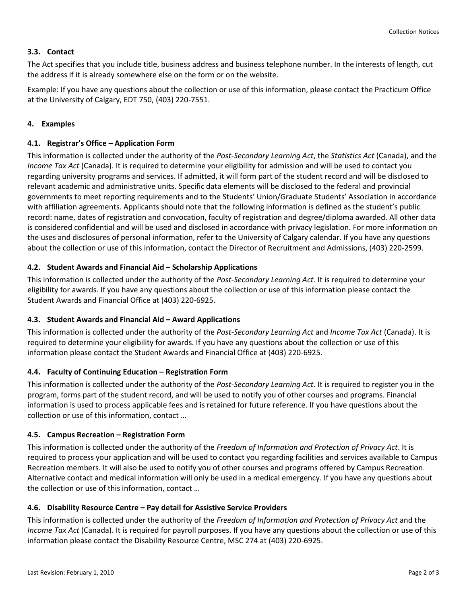## **3.3. Contact**

The Act specifies that you include title, business address and business telephone number. In the interests of length, cut the address if it is already somewhere else on the form or on the website.

Example: If you have any questions about the collection or use of this information, please contact the Practicum Office at the University of Calgary, EDT 750, (403) 220-7551.

## **4. Examples**

## **4.1. Registrar's Office – Application Form**

This information is collected under the authority of the *Post-Secondary Learning Act*, the *Statistics Act* (Canada), and the *Income Tax Act* (Canada). It is required to determine your eligibility for admission and will be used to contact you regarding university programs and services. If admitted, it will form part of the student record and will be disclosed to relevant academic and administrative units. Specific data elements will be disclosed to the federal and provincial governments to meet reporting requirements and to the Students' Union/Graduate Students' Association in accordance with affiliation agreements. Applicants should note that the following information is defined as the student's public record: name, dates of registration and convocation, faculty of registration and degree/diploma awarded. All other data is considered confidential and will be used and disclosed in accordance with privacy legislation. For more information on the uses and disclosures of personal information, refer to the University of Calgary calendar. If you have any questions about the collection or use of this information, contact the Director of Recruitment and Admissions, (403) 220-2599.

## **4.2. Student Awards and Financial Aid – Scholarship Applications**

This information is collected under the authority of the *Post-Secondary Learning Act*. It is required to determine your eligibility for awards. If you have any questions about the collection or use of this information please contact the Student Awards and Financial Office at (403) 220-6925.

#### **4.3. Student Awards and Financial Aid – Award Applications**

This information is collected under the authority of the *Post-Secondary Learning Act* and *Income Tax Act* (Canada). It is required to determine your eligibility for awards. If you have any questions about the collection or use of this information please contact the Student Awards and Financial Office at (403) 220-6925.

#### **4.4. Faculty of Continuing Education – Registration Form**

This information is collected under the authority of the *Post-Secondary Learning Act*. It is required to register you in the program, forms part of the student record, and will be used to notify you of other courses and programs. Financial information is used to process applicable fees and is retained for future reference. If you have questions about the collection or use of this information, contact …

#### **4.5. Campus Recreation – Registration Form**

This information is collected under the authority of the *Freedom of Information and Protection of Privacy Act*. It is required to process your application and will be used to contact you regarding facilities and services available to Campus Recreation members. It will also be used to notify you of other courses and programs offered by Campus Recreation. Alternative contact and medical information will only be used in a medical emergency. If you have any questions about the collection or use of this information, contact …

# **4.6. Disability Resource Centre – Pay detail for Assistive Service Providers**

This information is collected under the authority of the *Freedom of Information and Protection of Privacy Act* and the *Income Tax Act* (Canada). It is required for payroll purposes. If you have any questions about the collection or use of this information please contact the Disability Resource Centre, MSC 274 at (403) 220-6925.